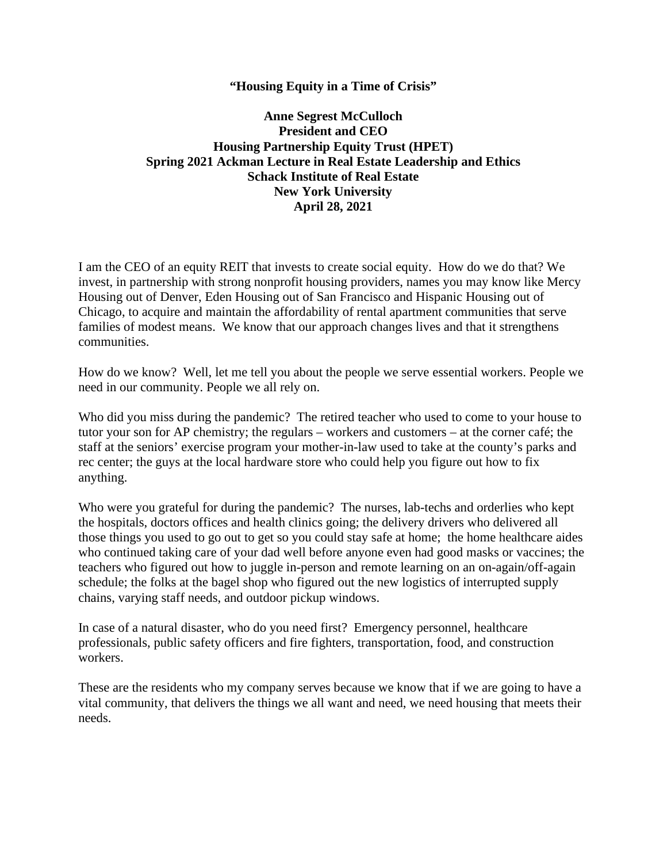### **"Housing Equity in a Time of Crisis"**

# **Anne Segrest McCulloch President and CEO Housing Partnership Equity Trust (HPET) Spring 2021 Ackman Lecture in Real Estate Leadership and Ethics Schack Institute of Real Estate New York University April 28, 2021**

I am the CEO of an equity REIT that invests to create social equity. How do we do that? We invest, in partnership with strong nonprofit housing providers, names you may know like Mercy Housing out of Denver, Eden Housing out of San Francisco and Hispanic Housing out of Chicago, to acquire and maintain the affordability of rental apartment communities that serve families of modest means. We know that our approach changes lives and that it strengthens communities.

How do we know? Well, let me tell you about the people we serve essential workers. People we need in our community. People we all rely on.

Who did you miss during the pandemic? The retired teacher who used to come to your house to tutor your son for AP chemistry; the regulars – workers and customers – at the corner café; the staff at the seniors' exercise program your mother-in-law used to take at the county's parks and rec center; the guys at the local hardware store who could help you figure out how to fix anything.

Who were you grateful for during the pandemic? The nurses, lab-techs and orderlies who kept the hospitals, doctors offices and health clinics going; the delivery drivers who delivered all those things you used to go out to get so you could stay safe at home; the home healthcare aides who continued taking care of your dad well before anyone even had good masks or vaccines; the teachers who figured out how to juggle in-person and remote learning on an on-again/off-again schedule; the folks at the bagel shop who figured out the new logistics of interrupted supply chains, varying staff needs, and outdoor pickup windows.

In case of a natural disaster, who do you need first? Emergency personnel, healthcare professionals, public safety officers and fire fighters, transportation, food, and construction workers.

These are the residents who my company serves because we know that if we are going to have a vital community, that delivers the things we all want and need, we need housing that meets their needs.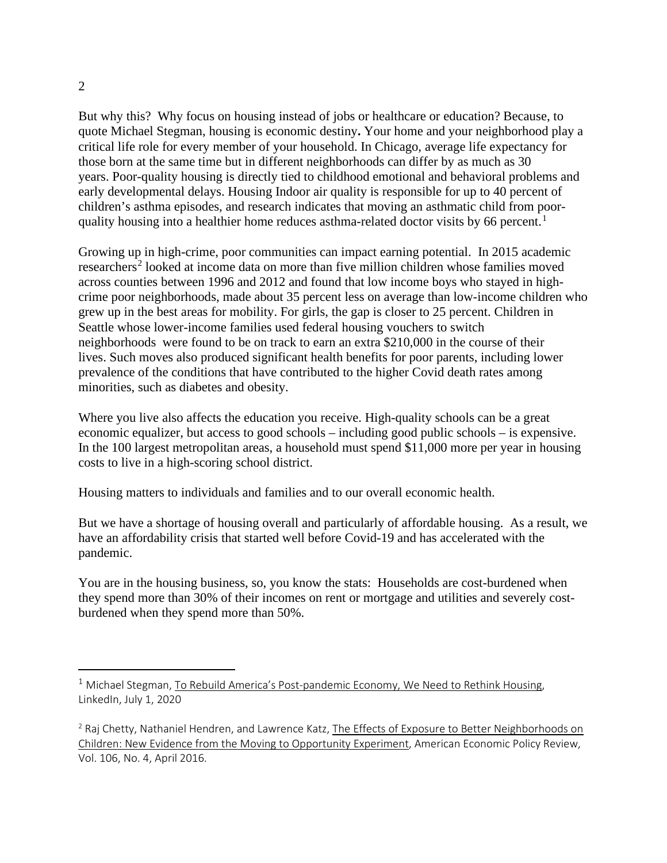But why this? Why focus on housing instead of jobs or healthcare or education? Because, to quote Michael Stegman, housing is economic destiny**.** Your home and your neighborhood play a critical life role for every member of your household. In Chicago, average life expectancy for those born at the same time but in different neighborhoods [can differ by as much as 30](https://harvard.us7.list-manage.com/track/click?u=32bdef9ad4f5c24e42bebf634&id=8fb3188728&e=9fe98efad7)  [years.](https://harvard.us7.list-manage.com/track/click?u=32bdef9ad4f5c24e42bebf634&id=8fb3188728&e=9fe98efad7) [Poor-quality housing is directly tied](https://harvard.us7.list-manage.com/track/click?u=32bdef9ad4f5c24e42bebf634&id=cb318cdd87&e=9fe98efad7) to childhood emotional and behavioral problems and early developmental delays. Housing Indoor air quality is responsible for up to 40 percent of children's asthma episodes, and research indicates that moving an asthmatic child from poorquality housing into a healthier home [reduces asthma-related doctor visits by 66 percent.](https://harvard.us7.list-manage.com/track/click?u=32bdef9ad4f5c24e42bebf634&id=d8e4ee9cd7&e=9fe98efad7)<sup>[1](#page-1-0)</sup>

Growing up in high-crime, poor communities can impact earning potential. In 2015 academic researchers<sup>[2](#page-1-1)</sup> looked at income data on more than five million children whose families moved across counties between 1996 and 2012 and found that low income boys who stayed in highcrime poor neighborhoods, made about [35 percent less on average than low-income children who](https://harvard.us7.list-manage.com/track/click?u=32bdef9ad4f5c24e42bebf634&id=5fb3ad723d&e=9fe98efad7)  grew [up in the best areas for mobility.](https://harvard.us7.list-manage.com/track/click?u=32bdef9ad4f5c24e42bebf634&id=5fb3ad723d&e=9fe98efad7) For girls, the gap is closer to 25 percent. Children in Seattle whose lower-income families used federal housing vouchers to switch neighborhoods [were found to be on track to earn an extra \\$210,000](https://harvard.us7.list-manage.com/track/click?u=32bdef9ad4f5c24e42bebf634&id=532284fe04&e=9fe98efad7) in the course of their [lives.](https://harvard.us7.list-manage.com/track/click?u=32bdef9ad4f5c24e42bebf634&id=532284fe04&e=9fe98efad7) Such moves also produced significant health benefits for poor parents, including lower prevalence of the conditions that have contributed to the higher Covid death rates among minorities, such as diabetes and obesity.

Where you live also affects the education you receive. High-quality schools can be a great economic equalizer, but access to good schools – including good public schools – is expensive. In the 100 largest metropolitan areas, [a household must spend \\$11,000 more per year in housing](https://harvard.us7.list-manage.com/track/click?u=32bdef9ad4f5c24e42bebf634&id=81331c0a6f&e=9fe98efad7)  costs to live in [a high-scoring school](https://harvard.us7.list-manage.com/track/click?u=32bdef9ad4f5c24e42bebf634&id=81331c0a6f&e=9fe98efad7) district.

Housing matters to individuals and families and to our overall economic health.

But we have a shortage of housing overall and particularly of affordable housing. As a result, we have an affordability crisis that started well before Covid-19 and has accelerated with the pandemic.

You are in the housing business, so, you know the stats: Households are cost-burdened when they spend more than 30% of their incomes on rent or mortgage and utilities and severely costburdened when they spend more than 50%.

<span id="page-1-0"></span> $1$  Michael Stegman, To Rebuild America's Post-pandemic Economy, We Need to Rethink Housing, LinkedIn, July 1, 2020

<span id="page-1-1"></span><sup>&</sup>lt;sup>2</sup> Raj Chetty, Nathaniel Hendren, and Lawrence Katz, The Effects of Exposure to Better Neighborhoods on Children: New Evidence from the Moving to Opportunity Experiment, American Economic Policy Review, Vol. 106, No. 4, April 2016.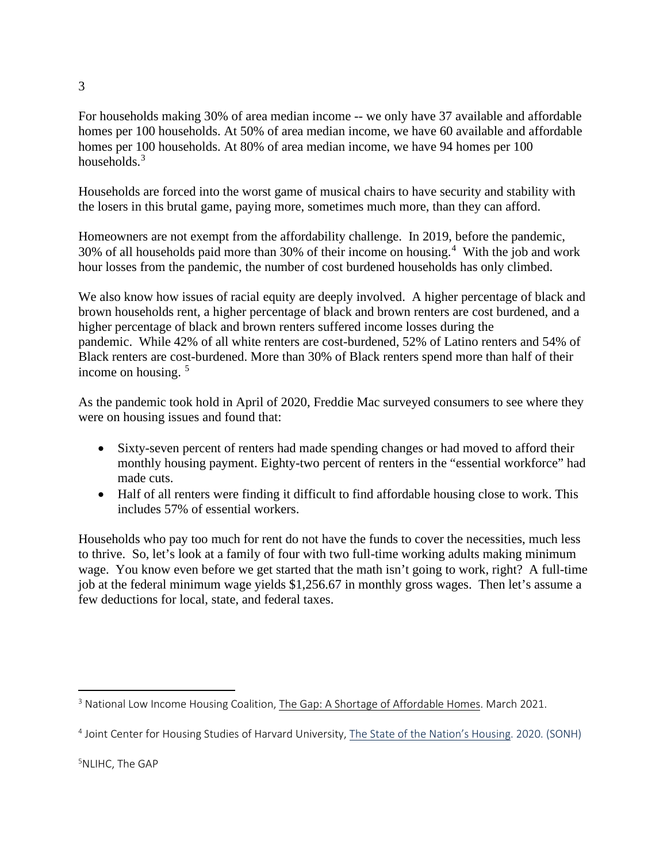For households making 30% of area median income -- we only have 37 available and affordable homes per 100 households. At 50% of area median income, we have 60 available and affordable homes per 100 households. At 80% of area median income, we have 94 homes per 100 households.<sup>[3](#page-2-0)</sup>

Households are forced into the worst game of musical chairs to have security and stability with the losers in this brutal game, paying more, sometimes much more, than they can afford.

Homeowners are not exempt from the affordability challenge. In 2019, before the pandemic, 30% of all households paid more than 30% of their income on housing. [4](#page-2-1) With the job and work hour losses from the pandemic, the number of cost burdened households has only climbed.

We also know how issues of racial equity are deeply involved. A higher percentage of black and brown households rent, a higher percentage of black and brown renters are cost burdened, and a higher percentage of black and brown renters suffered income losses during the pandemic. While 42% of all white renters are cost-burdened, 52% of Latino renters and 54% of Black renters are cost-burdened. More than 30% of Black renters spend more than half of their income on housing. [5](#page-2-2)

As the pandemic took hold in April of 2020, Freddie Mac surveyed consumers to see where they were on housing issues and found that:

- Sixty-seven percent of renters had made spending changes or had moved to afford their monthly housing payment. Eighty-two percent of renters in the "essential workforce" had made cuts.
- Half of all renters were finding it difficult to find affordable housing close to work. This includes 57% of essential workers.

Households who pay too much for rent do not have the funds to cover the necessities, much less to thrive. So, let's look at a family of four with two full-time working adults making minimum wage. You know even before we get started that the math isn't going to work, right? A full-time job at the federal minimum wage yields \$1,256.67 in monthly gross wages. Then let's assume a few deductions for local, state, and federal taxes.

<span id="page-2-0"></span><sup>&</sup>lt;sup>3</sup> National Low Income Housing Coalition, The Gap: A Shortage of Affordable Homes. March 2021.

<span id="page-2-2"></span><span id="page-2-1"></span><sup>4</sup> Joint Center for Housing Studies of Harvard University, The State of the Nation's Housing. 2020. (SONH)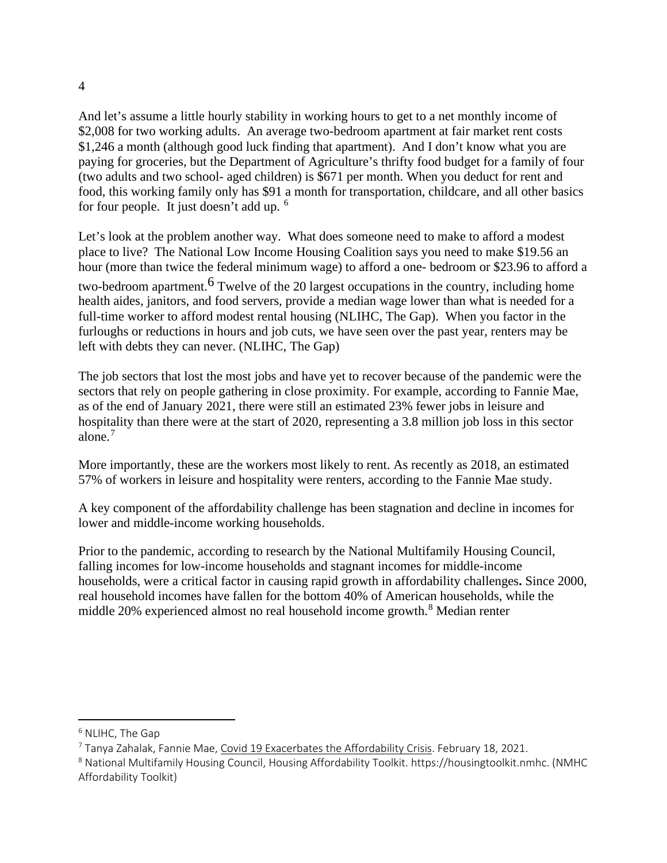And let's assume a little hourly stability in working hours to get to a net monthly income of \$2,008 for two working adults. An average two-bedroom apartment at fair market rent costs \$1,246 a month (although good luck finding that apartment). And I don't know what you are paying for groceries, but the Department of Agriculture's thrifty food budget for a family of four (two adults and two school- aged children) is \$671 per month. When you deduct for rent and food, this working family only has \$91 a month for transportation, childcare, and all other basics for four people. It just doesn't add up. [6](#page-3-0)

Let's look at the problem another way. What does someone need to make to afford a modest place to live? The National Low Income Housing Coalition says you need to make \$19.56 an hour (more than twice the federal minimum wage) to afford a one- bedroom or \$23.96 to afford a two-bedroom apartment.<sup>6</sup> Twelve of the 20 largest occupations in the country, including home health aides, janitors, and food servers, provide a median wage lower than what is needed for a full-time worker to afford modest rental housing (NLIHC, The Gap). When you factor in the furloughs or reductions in hours and job cuts, we have seen over the past year, renters may be left with debts they can never. (NLIHC, The Gap)

The job sectors that lost the most jobs and have yet to recover because of the pandemic were the sectors that rely on people gathering in close proximity. For example, according to Fannie Mae, as of the end of January 2021, there were still an estimated 23% fewer jobs in leisure and hospitality than there were at the start of 2020, representing a 3.8 million job loss in this sector alone.[7](#page-3-1)

More importantly, these are the workers most likely to rent. As recently as 2018, an estimated 57% of workers in leisure and hospitality were renters, according to the Fannie Mae study.

A key component of the affordability challenge has been stagnation and decline in incomes for lower and middle-income working households.

Prior to the pandemic, according to research by the National Multifamily Housing Council, falling incomes for low-income households and stagnant incomes for middle-income households, were a critical factor in causing rapid growth in affordability challenges**.** Since 2000, real household incomes have fallen for the bottom 40% of American households, while the middle 20% experienced almost no real household income growth.<sup>[8](#page-3-2)</sup> Median renter

<span id="page-3-0"></span><sup>6</sup> NLIHC, The Gap

<span id="page-3-1"></span> $7$  Tanya Zahalak, Fannie Mae, Covid 19 Exacerbates the Affordability Crisis. February 18, 2021.

<span id="page-3-2"></span><sup>8</sup> National Multifamily Housing Council, Housing Affordability Toolkit. https://housingtoolkit.nmhc. (NMHC Affordability Toolkit)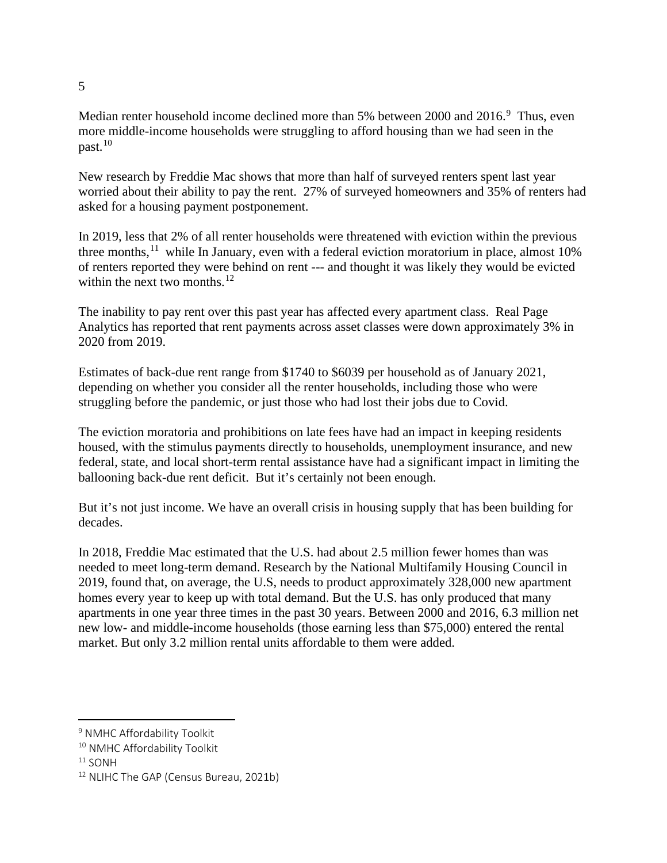Median renter household income declined more than 5% between 2000 and 2016.<sup>[9](#page-4-0)</sup> Thus, even more middle-income households were struggling to afford housing than we had seen in the  $past.$ <sup>[10](#page-4-1)</sup>

New research by Freddie Mac shows that more than half of surveyed renters spent last year worried about their ability to pay the rent. 27% of surveyed homeowners and 35% of renters had asked for a housing payment postponement.

In 2019, less that 2% of all renter households were threatened with eviction within the previous three months,  $11$  while In January, even with a federal eviction moratorium in place, almost 10% of renters reported they were behind on rent --- and thought it was likely they would be evicted within the next two months. $^{12}$  $^{12}$  $^{12}$ 

The inability to pay rent over this past year has affected every apartment class. Real Page Analytics has reported that rent payments across asset classes were down approximately 3% in 2020 from 2019.

Estimates of back-due rent range from \$1740 to \$6039 per household as of January 2021, depending on whether you consider all the renter households, including those who were struggling before the pandemic, or just those who had lost their jobs due to Covid.

The eviction moratoria and prohibitions on late fees have had an impact in keeping residents housed, with the stimulus payments directly to households, unemployment insurance, and new federal, state, and local short-term rental assistance have had a significant impact in limiting the ballooning back-due rent deficit. But it's certainly not been enough.

But it's not just income. We have an overall crisis in housing supply that has been building for decades.

In 2018, Freddie Mac estimated that the U.S. had about 2.5 million fewer homes than was needed to meet long-term demand. Research by the National Multifamily Housing Council in 2019, found that, on average, the U.S, needs to product approximately 328,000 new apartment homes every year to keep up with total demand. But the U.S. has only produced that many apartments in one year three times in the past 30 years. Between 2000 and 2016, 6.3 million net new low- and middle-income households (those earning less than \$75,000) entered the rental market. But only 3.2 million rental units affordable to them were added.

<span id="page-4-0"></span><sup>9</sup> NMHC Affordability Toolkit

<span id="page-4-1"></span><sup>&</sup>lt;sup>10</sup> NMHC Affordability Toolkit

<span id="page-4-2"></span> $11$  SONH

<span id="page-4-3"></span><sup>&</sup>lt;sup>12</sup> NLIHC The GAP (Census Bureau, 2021b)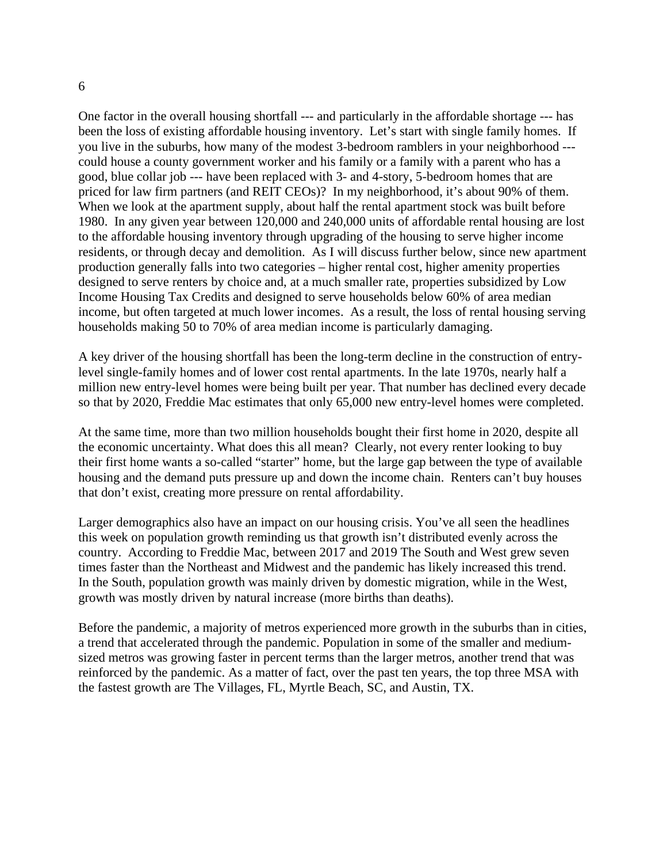One factor in the overall housing shortfall --- and particularly in the affordable shortage --- has been the loss of existing affordable housing inventory. Let's start with single family homes. If you live in the suburbs, how many of the modest 3-bedroom ramblers in your neighborhood -- could house a county government worker and his family or a family with a parent who has a good, blue collar job --- have been replaced with 3- and 4-story, 5-bedroom homes that are priced for law firm partners (and REIT CEOs)? In my neighborhood, it's about 90% of them. When we look at the apartment supply, about half the rental apartment stock was built before 1980. In any given year between 120,000 and 240,000 units of affordable rental housing are lost to the affordable housing inventory through upgrading of the housing to serve higher income residents, or through decay and demolition. As I will discuss further below, since new apartment production generally falls into two categories – higher rental cost, higher amenity properties designed to serve renters by choice and, at a much smaller rate, properties subsidized by Low Income Housing Tax Credits and designed to serve households below 60% of area median income, but often targeted at much lower incomes. As a result, the loss of rental housing serving households making 50 to 70% of area median income is particularly damaging.

A key driver of the housing shortfall has been the long-term decline in the construction of entrylevel single-family homes and of lower cost rental apartments. In the late 1970s, nearly half a million new entry-level homes were being built per year. That number has declined every decade so that by 2020, Freddie Mac estimates that only 65,000 new entry-level homes were completed.

At the same time, more than two million households bought their first home in 2020, despite all the economic uncertainty. What does this all mean? Clearly, not every renter looking to buy their first home wants a so-called "starter" home, but the large gap between the type of available housing and the demand puts pressure up and down the income chain. Renters can't buy houses that don't exist, creating more pressure on rental affordability.

Larger demographics also have an impact on our housing crisis. You've all seen the headlines this week on population growth reminding us that growth isn't distributed evenly across the country. According to Freddie Mac, between 2017 and 2019 The South and West grew seven times faster than the Northeast and Midwest and the pandemic has likely increased this trend. In the South, population growth was mainly driven by domestic migration, while in the West, growth was mostly driven by natural increase (more births than deaths).

Before the pandemic, a majority of metros experienced more growth in the suburbs than in cities, a trend that accelerated through the pandemic. Population in some of the smaller and mediumsized metros was growing faster in percent terms than the larger metros, another trend that was reinforced by the pandemic. As a matter of fact, over the past ten years, the top three MSA with the fastest growth are The Villages, FL, Myrtle Beach, SC, and Austin, TX.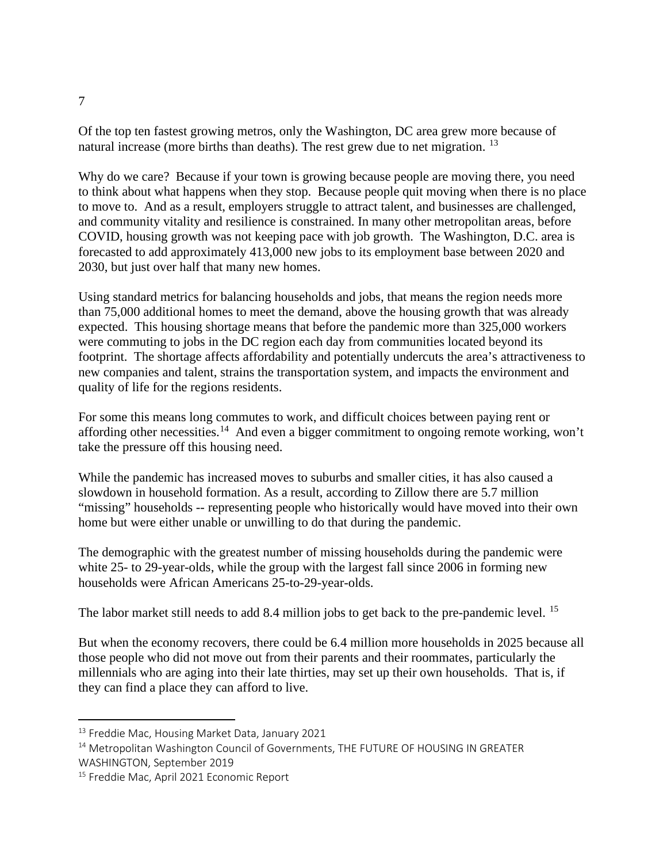Of the top ten fastest growing metros, only the Washington, DC area grew more because of natural increase (more births than deaths). The rest grew due to net migration. [13](#page-6-0)

Why do we care? Because if your town is growing because people are moving there, you need to think about what happens when they stop.Because people quit moving when there is no place to move to. And as a result, employers struggle to attract talent, and businesses are challenged, and community vitality and resilience is constrained. In many other metropolitan areas, before COVID, housing growth was not keeping pace with job growth. The Washington, D.C. area is forecasted to add approximately 413,000 new jobs to its employment base between 2020 and 2030, but just over half that many new homes.

Using standard metrics for balancing households and jobs, that means the region needs more than 75,000 additional homes to meet the demand, above the housing growth that was already expected. This housing shortage means that before the pandemic more than 325,000 workers were commuting to jobs in the DC region each day from communities located beyond its footprint. The shortage affects affordability and potentially undercuts the area's attractiveness to new companies and talent, strains the transportation system, and impacts the environment and quality of life for the regions residents.

For some this means long commutes to work, and difficult choices between paying rent or affording other necessities.<sup>[14](#page-6-1)</sup> And even a bigger commitment to ongoing remote working, won't take the pressure off this housing need.

While the pandemic has increased moves to suburbs and smaller cities, it has also caused a slowdown in household formation. As a result, according to Zillow there are 5.7 million "missing" households -- representing people who historically would have moved into their own home but were either unable or unwilling to do that during the pandemic.

The demographic with the greatest number of missing households during the pandemic were white 25- to 29-year-olds, while the group with the largest fall since 2006 in forming new households were African Americans 25-to-29-year-olds.

The labor market still needs to add 8.4 million jobs to get back to the pre-pandemic level. <sup>[15](#page-6-2)</sup>

But when the economy recovers, there could be 6.4 million more households in 2025 because all those people who did not move out from their parents and their roommates, particularly the millennials who are aging into their late thirties, may set up their own households. That is, if they can find a place they can afford to live.

<span id="page-6-0"></span><sup>13</sup> Freddie Mac, Housing Market Data, January 2021

<span id="page-6-1"></span><sup>&</sup>lt;sup>14</sup> Metropolitan Washington Council of Governments, THE FUTURE OF HOUSING IN GREATER WASHINGTON, September 2019

<span id="page-6-2"></span><sup>&</sup>lt;sup>15</sup> Freddie Mac, April 2021 Economic Report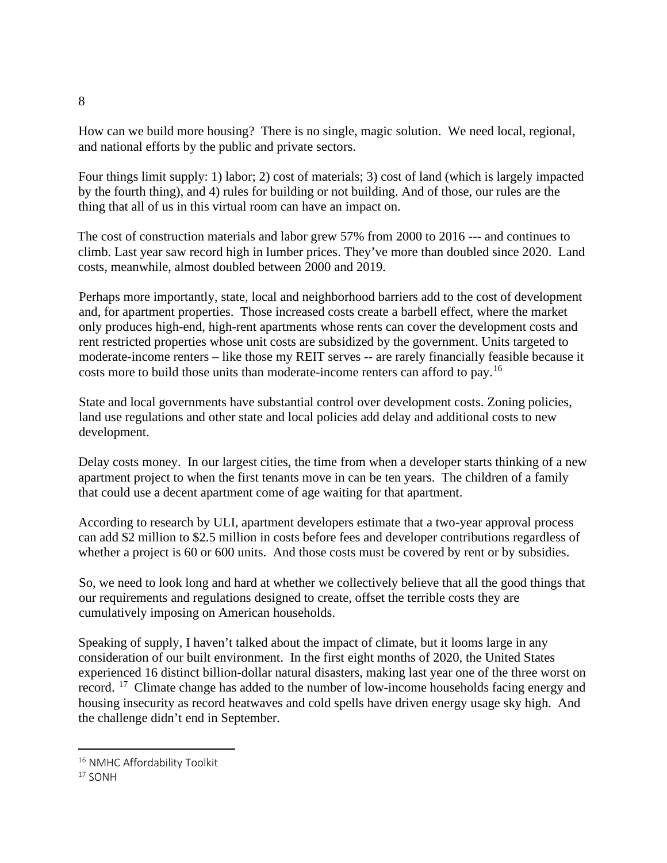How can we build more housing?There is no single, magic solution. We need local, regional, and national efforts by the public and private sectors.

Four things limit supply: 1) labor; 2) cost of materials; 3) cost of land (which is largely impacted by the fourth thing), and 4) rules for building or not building. And of those, our rules are the thing that all of us in this virtual room can have an impact on.

The cost of construction materials and labor grew 57% from 2000 to 2016 --- and continues to climb. Last year saw record high in lumber prices. They've more than doubled since 2020. Land costs, meanwhile, almost doubled between 2000 and 2019.

Perhaps more importantly, state, local and neighborhood barriers add to the cost of development and, for apartment properties. Those increased costs create a barbell effect, where the market only produces high-end, high-rent apartments whose rents can cover the development costs and rent restricted properties whose unit costs are subsidized by the government. Units targeted to moderate-income renters – like those my REIT serves -- are rarely financially feasible because it costs more to build those units than moderate-income renters can afford to pay.[16](#page-7-0)

State and local governments have substantial control over development costs. Zoning policies, land use regulations and other state and local policies add delay and additional costs to new development.

Delay costs money. In our largest cities, the time from when a developer starts thinking of a new apartment project to when the first tenants move in can be ten years. The children of a family that could use a decent apartment come of age waiting for that apartment.

According to research by ULI, apartment developers estimate that a two-year approval process can add \$2 million to \$2.5 million in costs before fees and developer contributions regardless of whether a project is 60 or 600 units. And those costs must be covered by rent or by subsidies.

So, we need to look long and hard at whether we collectively believe that all the good things that our requirements and regulations designed to create, offset the terrible costs they are cumulatively imposing on American households.

Speaking of supply, I haven't talked about the impact of climate, but it looms large in any consideration of our built environment. In the first eight months of 2020, the United States experienced 16 distinct billion-dollar natural disasters, making last year one of the three worst on record. <sup>[17](#page-7-1)</sup> Climate change has added to the number of low-income households facing energy and housing insecurity as record heatwaves and cold spells have driven energy usage sky high. And the challenge didn't end in September.

<span id="page-7-0"></span><sup>&</sup>lt;sup>16</sup> NMHC Affordability Toolkit

<span id="page-7-1"></span> $17$  SONH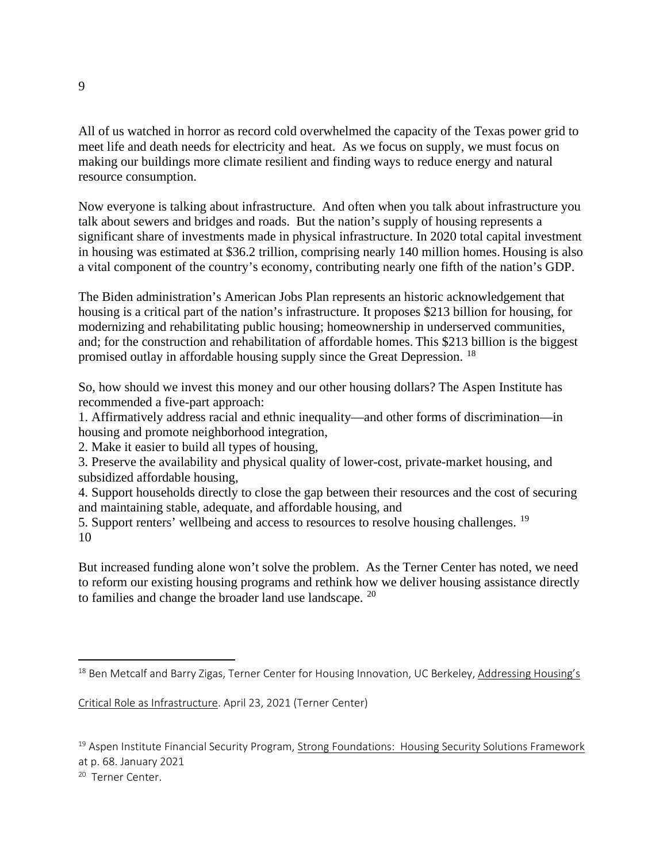All of us watched in horror as record cold overwhelmed the capacity of the Texas power grid to meet life and death needs for electricity and heat. As we focus on supply, we must focus on making our buildings more climate resilient and finding ways to reduce energy and natural resource consumption.

Now everyone is talking about infrastructure. And often when you talk about infrastructure you talk about sewers and bridges and roads. But the nation's supply of housing represents a significant share of investments made in physical infrastructure. In 2020 total capital investment in housing was estimated at \$36.2 trillion, comprising nearly 140 million homes. Housing is also a vital component of the country's economy, contributing nearly one fifth of the nation's GDP.

The Biden administration's American Jobs Plan represents an historic acknowledgement that housing is a critical part of the nation's infrastructure. It proposes \$213 billion for housing, for modernizing and rehabilitating public housing; homeownership in underserved communities, and; for the construction and rehabilitation of affordable homes. This \$213 billion is the biggest promised outlay in affordable housing supply since the Great Depression. [18](#page-8-0)

So, how should we invest this money and our other housing dollars? The Aspen Institute has recommended a five-part approach:

1. Affirmatively address racial and ethnic inequality—and other forms of discrimination—in housing and promote neighborhood integration,

2. Make it easier to build all types of housing,

3. Preserve the availability and physical quality of lower-cost, private-market housing, and subsidized affordable housing,

4. Support households directly to close the gap between their resources and the cost of securing and maintaining stable, adequate, and affordable housing, and

5. Support renters' wellbeing and access to resources to resolve housing challenges. <sup>[19](#page-8-1)</sup> 10

But increased funding alone won't solve the problem. As the Terner Center has noted, we need to reform our existing housing programs and rethink how we deliver housing assistance directly to families and change the broader land use landscape. [20](#page-8-2)

<span id="page-8-2"></span><sup>20</sup> Terner Center.

<span id="page-8-0"></span><sup>&</sup>lt;sup>18</sup> Ben Metcalf and Barry Zigas, Terner Center for Housing Innovation, UC Berkeley, Addressing Housing's

Critical Role as Infrastructure. April 23, 2021 (Terner Center[\)](https://ternercenter.berkeley.edu/)

<span id="page-8-1"></span><sup>&</sup>lt;sup>19</sup> Aspen Institute Financial Security Program, Strong Foundations: Housing Security Solutions Framework at p. 68. January 2021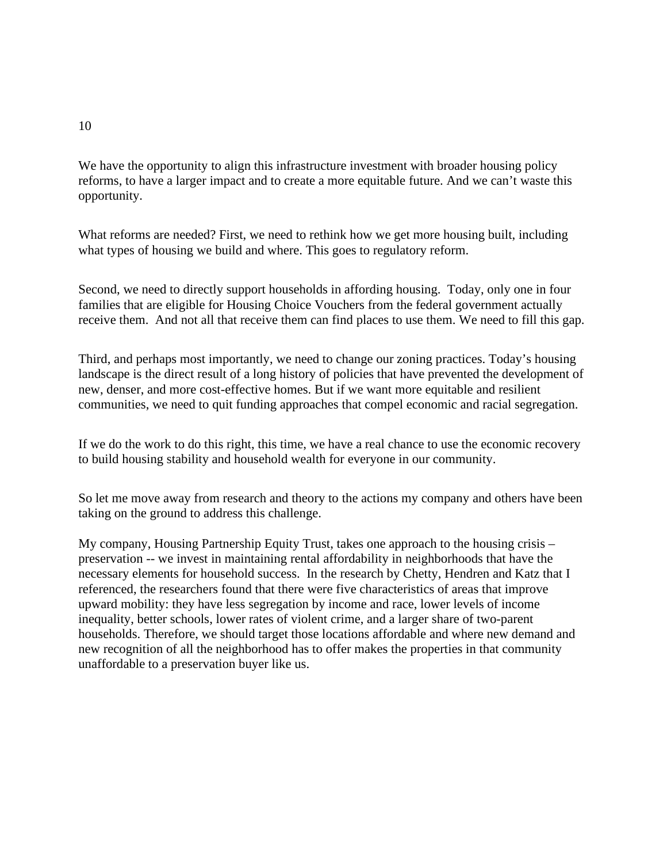We have the opportunity to align this infrastructure investment with broader housing policy reforms, to have a larger impact and to create a more equitable future. And we can't waste this opportunity.

What reforms are needed? First, we need to rethink how we get more housing built, including what types of housing we build and where. This goes to regulatory reform.

Second, we need to directly support households in affording housing. Today, only one in four families that are eligible for Housing Choice Vouchers from the federal government actually receive them. And not all that receive them can find places to use them. We need to fill this gap.

Third, and perhaps most importantly, we need to change our zoning practices. Today's housing landscape is the direct result of a long history of policies that have prevented the development of new, denser, and more cost-effective homes. But if we want more equitable and resilient communities, we need to quit funding approaches that compel economic and racial segregation.

If we do the work to do this right, this time, we have a real chance to use the economic recovery to build housing stability and household wealth for everyone in our community.

So let me move away from research and theory to the actions my company and others have been taking on the ground to address this challenge.

My company, Housing Partnership Equity Trust, takes one approach to the housing crisis – preservation -- we invest in maintaining rental affordability in neighborhoods that have the necessary elements for household success. In the research by Chetty, Hendren and Katz that I referenced, the researchers found that there were five characteristics of areas that improve upward mobility: they have less segregation by income and race, lower levels of income inequality, better schools, lower rates of violent crime, and a larger share of two-parent households. Therefore, we should target those locations affordable and where new demand and new recognition of all the neighborhood has to offer makes the properties in that community unaffordable to a preservation buyer like us.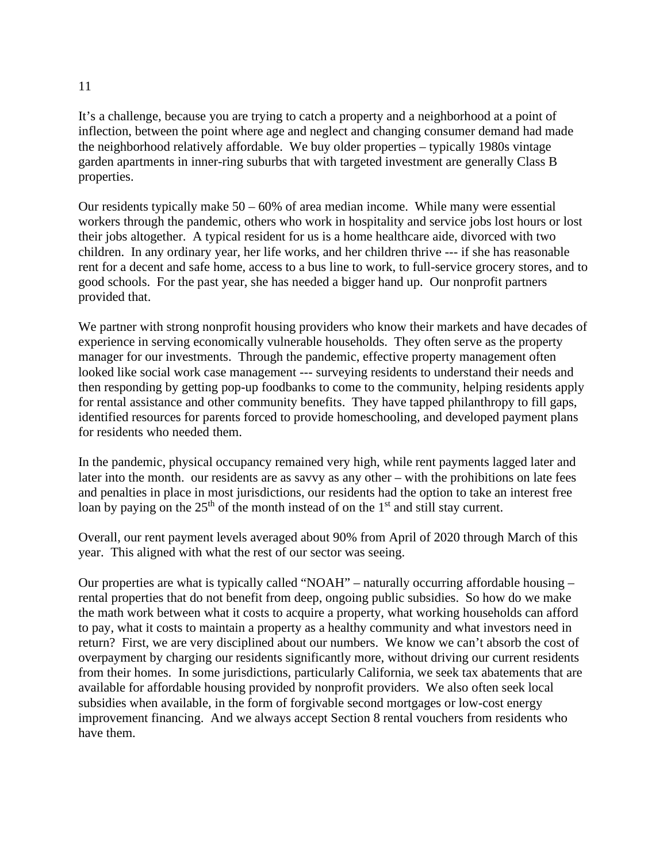#### 11

It's a challenge, because you are trying to catch a property and a neighborhood at a point of inflection, between the point where age and neglect and changing consumer demand had made the neighborhood relatively affordable. We buy older properties – typically 1980s vintage garden apartments in inner-ring suburbs that with targeted investment are generally Class B properties.

Our residents typically make  $50 - 60\%$  of area median income. While many were essential workers through the pandemic, others who work in hospitality and service jobs lost hours or lost their jobs altogether. A typical resident for us is a home healthcare aide, divorced with two children. In any ordinary year, her life works, and her children thrive --- if she has reasonable rent for a decent and safe home, access to a bus line to work, to full-service grocery stores, and to good schools. For the past year, she has needed a bigger hand up. Our nonprofit partners provided that.

We partner with strong nonprofit housing providers who know their markets and have decades of experience in serving economically vulnerable households. They often serve as the property manager for our investments. Through the pandemic, effective property management often looked like social work case management --- surveying residents to understand their needs and then responding by getting pop-up foodbanks to come to the community, helping residents apply for rental assistance and other community benefits. They have tapped philanthropy to fill gaps, identified resources for parents forced to provide homeschooling, and developed payment plans for residents who needed them.

In the pandemic, physical occupancy remained very high, while rent payments lagged later and later into the month. our residents are as savvy as any other – with the prohibitions on late fees and penalties in place in most jurisdictions, our residents had the option to take an interest free loan by paying on the  $25<sup>th</sup>$  of the month instead of on the  $1<sup>st</sup>$  and still stay current.

Overall, our rent payment levels averaged about 90% from April of 2020 through March of this year. This aligned with what the rest of our sector was seeing.

Our properties are what is typically called "NOAH" – naturally occurring affordable housing – rental properties that do not benefit from deep, ongoing public subsidies. So how do we make the math work between what it costs to acquire a property, what working households can afford to pay, what it costs to maintain a property as a healthy community and what investors need in return? First, we are very disciplined about our numbers. We know we can't absorb the cost of overpayment by charging our residents significantly more, without driving our current residents from their homes. In some jurisdictions, particularly California, we seek tax abatements that are available for affordable housing provided by nonprofit providers. We also often seek local subsidies when available, in the form of forgivable second mortgages or low-cost energy improvement financing. And we always accept Section 8 rental vouchers from residents who have them.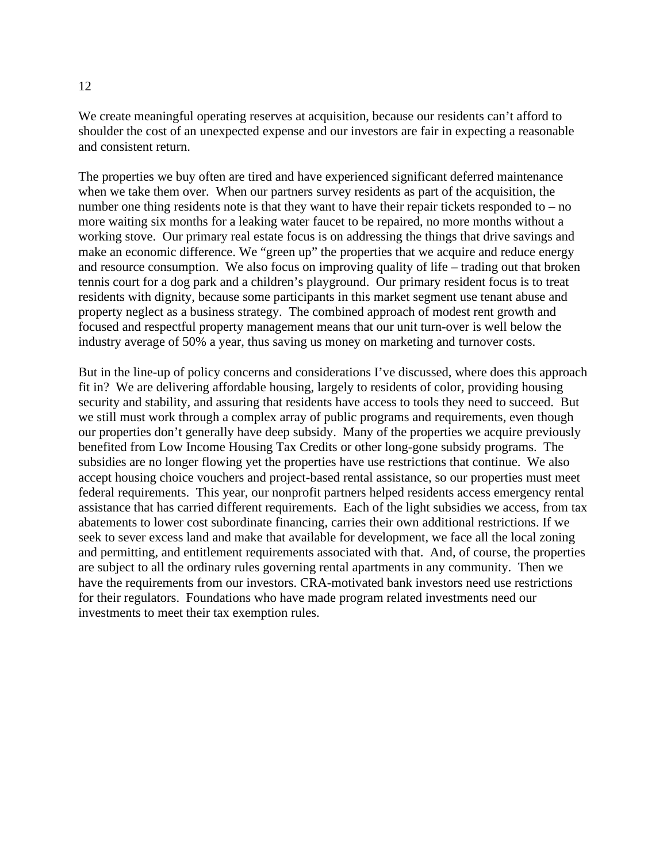## We create meaningful operating reserves at acquisition, because our residents can't afford to shoulder the cost of an unexpected expense and our investors are fair in expecting a reasonable and consistent return.

The properties we buy often are tired and have experienced significant deferred maintenance when we take them over. When our partners survey residents as part of the acquisition, the number one thing residents note is that they want to have their repair tickets responded to – no more waiting six months for a leaking water faucet to be repaired, no more months without a working stove. Our primary real estate focus is on addressing the things that drive savings and make an economic difference. We "green up" the properties that we acquire and reduce energy and resource consumption. We also focus on improving quality of life – trading out that broken tennis court for a dog park and a children's playground. Our primary resident focus is to treat residents with dignity, because some participants in this market segment use tenant abuse and property neglect as a business strategy. The combined approach of modest rent growth and focused and respectful property management means that our unit turn-over is well below the industry average of 50% a year, thus saving us money on marketing and turnover costs.

But in the line-up of policy concerns and considerations I've discussed, where does this approach fit in? We are delivering affordable housing, largely to residents of color, providing housing security and stability, and assuring that residents have access to tools they need to succeed. But we still must work through a complex array of public programs and requirements, even though our properties don't generally have deep subsidy. Many of the properties we acquire previously benefited from Low Income Housing Tax Credits or other long-gone subsidy programs. The subsidies are no longer flowing yet the properties have use restrictions that continue. We also accept housing choice vouchers and project-based rental assistance, so our properties must meet federal requirements. This year, our nonprofit partners helped residents access emergency rental assistance that has carried different requirements. Each of the light subsidies we access, from tax abatements to lower cost subordinate financing, carries their own additional restrictions. If we seek to sever excess land and make that available for development, we face all the local zoning and permitting, and entitlement requirements associated with that. And, of course, the properties are subject to all the ordinary rules governing rental apartments in any community. Then we have the requirements from our investors. CRA-motivated bank investors need use restrictions for their regulators. Foundations who have made program related investments need our investments to meet their tax exemption rules.